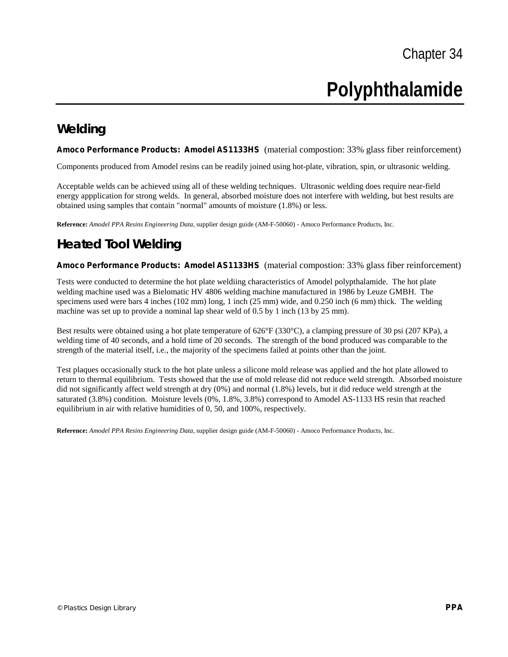# **Polyphthalamide**

## **Welding**

**Amoco Performance Products: Amodel AS1133HS** (material compostion: 33% glass fiber reinforcement)

Components produced from Amodel resins can be readily joined using hot-plate, vibration, spin, or ultrasonic welding.

Acceptable welds can be achieved using all of these welding techniques. Ultrasonic welding does require near-field energy appplication for strong welds. In general, absorbed moisture does not interfere with welding, but best results are obtained using samples that contain "normal" amounts of moisture (1.8%) or less.

**Reference:** *Amodel PPA Resins Engineering Data,* supplier design guide (AM-F-50060) - Amoco Performance Products, Inc.

## **Heated Tool Welding**

**Amoco Performance Products: Amodel AS1133HS** (material compostion: 33% glass fiber reinforcement)

Tests were conducted to determine the hot plate weldiing characteristics of Amodel polypthalamide. The hot plate welding machine used was a Bielomatic HV 4806 welding machine manufactured in 1986 by Leuze GMBH. The specimens used were bars 4 inches (102 mm) long, 1 inch (25 mm) wide, and 0.250 inch (6 mm) thick. The welding machine was set up to provide a nominal lap shear weld of 0.5 by 1 inch (13 by 25 mm).

Best results were obtained using a hot plate temperature of 626°F (330°C), a clamping pressure of 30 psi (207 KPa), a welding time of 40 seconds, and a hold time of 20 seconds. The strength of the bond produced was comparable to the strength of the material itself, i.e., the majority of the specimens failed at points other than the joint.

Test plaques occasionally stuck to the hot plate unless a silicone mold release was applied and the hot plate allowed to return to thermal equilibrium. Tests showed that the use of mold release did not reduce weld strength. Absorbed moisture did not significantly affect weld strength at dry (0%) and normal (1.8%) levels, but it did reduce weld strength at the saturated (3.8%) condition. Moisture levels (0%, 1.8%, 3.8%) correspond to Amodel AS-1133 HS resin that reached equilibrium in air with relative humidities of 0, 50, and 100%, respectively.

**Reference:** *Amodel PPA Resins Engineering Data,* supplier design guide (AM-F-50060) - Amoco Performance Products, Inc.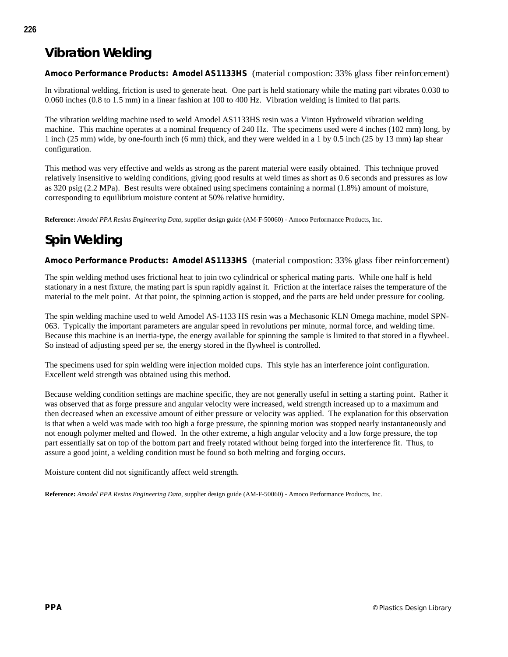# **Vibration Welding**

#### **Amoco Performance Products: Amodel AS1133HS** (material compostion: 33% glass fiber reinforcement)

In vibrational welding, friction is used to generate heat. One part is held stationary while the mating part vibrates 0.030 to 0.060 inches (0.8 to 1.5 mm) in a linear fashion at 100 to 400 Hz. Vibration welding is limited to flat parts.

The vibration welding machine used to weld Amodel AS1133HS resin was a Vinton Hydroweld vibration welding machine. This machine operates at a nominal frequency of 240 Hz. The specimens used were 4 inches (102 mm) long, by 1 inch (25 mm) wide, by one-fourth inch (6 mm) thick, and they were welded in a 1 by 0.5 inch (25 by 13 mm) lap shear configuration.

This method was very effective and welds as strong as the parent material were easily obtained. This technique proved relatively insensitive to welding conditions, giving good results at weld times as short as 0.6 seconds and pressures as low as 320 psig (2.2 MPa). Best results were obtained using specimens containing a normal (1.8%) amount of moisture, corresponding to equilibrium moisture content at 50% relative humidity.

**Reference:** *Amodel PPA Resins Engineering Data,* supplier design guide (AM-F-50060) - Amoco Performance Products, Inc.

# **Spin Welding**

**Amoco Performance Products: Amodel AS1133HS** (material compostion: 33% glass fiber reinforcement)

The spin welding method uses frictional heat to join two cylindrical or spherical mating parts. While one half is held stationary in a nest fixture, the mating part is spun rapidly against it. Friction at the interface raises the temperature of the material to the melt point. At that point, the spinning action is stopped, and the parts are held under pressure for cooling.

The spin welding machine used to weld Amodel AS-1133 HS resin was a Mechasonic KLN Omega machine, model SPN-063. Typically the important parameters are angular speed in revolutions per minute, normal force, and welding time. Because this machine is an inertia-type, the energy available for spinning the sample is limited to that stored in a flywheel. So instead of adjusting speed per se, the energy stored in the flywheel is controlled.

The specimens used for spin welding were injection molded cups. This style has an interference joint configuration. Excellent weld strength was obtained using this method.

Because welding condition settings are machine specific, they are not generally useful in setting a starting point. Rather it was observed that as forge pressure and angular velocity were increased, weld strength increased up to a maximum and then decreased when an excessive amount of either pressure or velocity was applied. The explanation for this observation is that when a weld was made with too high a forge pressure, the spinning motion was stopped nearly instantaneously and not enough polymer melted and flowed. In the other extreme, a high angular velocity and a low forge pressure, the top part essentially sat on top of the bottom part and freely rotated without being forged into the interference fit. Thus, to assure a good joint, a welding condition must be found so both melting and forging occurs.

Moisture content did not significantly affect weld strength.

**Reference:** *Amodel PPA Resins Engineering Data,* supplier design guide (AM-F-50060) - Amoco Performance Products, Inc.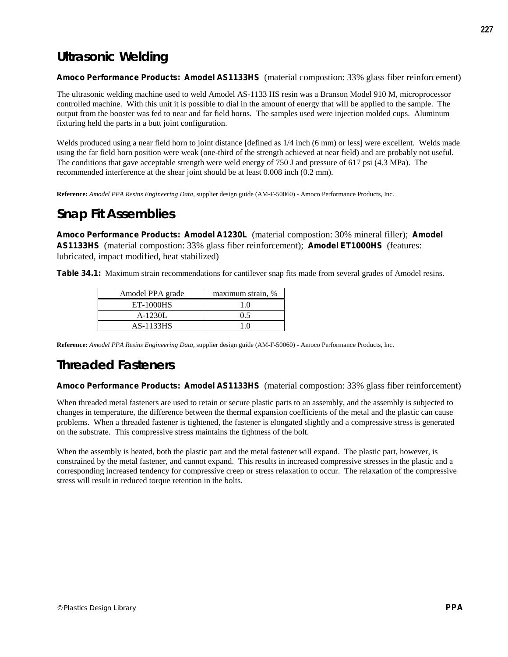## **Ultrasonic Welding**

#### **Amoco Performance Products: Amodel AS1133HS** (material compostion: 33% glass fiber reinforcement)

The ultrasonic welding machine used to weld Amodel AS-1133 HS resin was a Branson Model 910 M, microprocessor controlled machine. With this unit it is possible to dial in the amount of energy that will be applied to the sample. The output from the booster was fed to near and far field horns. The samples used were injection molded cups. Aluminum fixturing held the parts in a butt joint configuration.

Welds produced using a near field horn to joint distance [defined as  $1/4$  inch (6 mm) or less] were excellent. Welds made using the far field horn position were weak (one-third of the strength achieved at near field) and are probably not useful. The conditions that gave acceptable strength were weld energy of 750 J and pressure of 617 psi (4.3 MPa). The recommended interference at the shear joint should be at least 0.008 inch (0.2 mm).

**Reference:** *Amodel PPA Resins Engineering Data,* supplier design guide (AM-F-50060) - Amoco Performance Products, Inc.

#### **Snap Fit Assemblies**

**Amoco Performance Products: Amodel A1230L** (material compostion: 30% mineral filler); **Amodel AS1133HS** (material compostion: 33% glass fiber reinforcement); **Amodel ET1000HS** (features: lubricated, impact modified, heat stabilized)

**Table 34.1:** Maximum strain recommendations for cantilever snap fits made from several grades of Amodel resins.

| Amodel PPA grade | maximum strain, % |
|------------------|-------------------|
| <b>ET-1000HS</b> | 10                |
| A-1230L          | 0.5               |
| AS-1133HS        |                   |

**Reference:** *Amodel PPA Resins Engineering Data,* supplier design guide (AM-F-50060) - Amoco Performance Products, Inc.

#### **Threaded Fasteners**

**Amoco Performance Products: Amodel AS1133HS** (material compostion: 33% glass fiber reinforcement)

When threaded metal fasteners are used to retain or secure plastic parts to an assembly, and the assembly is subjected to changes in temperature, the difference between the thermal expansion coefficients of the metal and the plastic can cause problems. When a threaded fastener is tightened, the fastener is elongated slightly and a compressive stress is generated on the substrate. This compressive stress maintains the tightness of the bolt.

When the assembly is heated, both the plastic part and the metal fastener will expand. The plastic part, however, is constrained by the metal fastener, and cannot expand. This results in increased compressive stresses in the plastic and a corresponding increased tendency for compressive creep or stress relaxation to occur. The relaxation of the compressive stress will result in reduced torque retention in the bolts.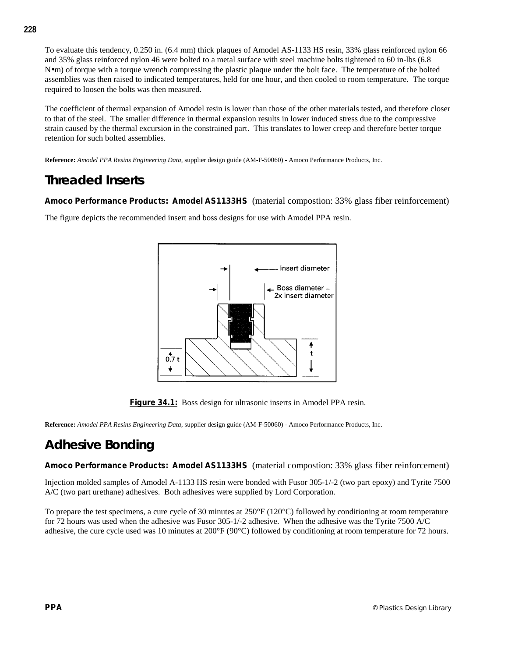To evaluate this tendency, 0.250 in. (6.4 mm) thick plaques of Amodel AS-1133 HS resin, 33% glass reinforced nylon 66 and 35% glass reinforced nylon 46 were bolted to a metal surface with steel machine bolts tightened to 60 in-lbs (6.8 N•m) of torque with a torque wrench compressing the plastic plaque under the bolt face. The temperature of the bolted assemblies was then raised to indicated temperatures, held for one hour, and then cooled to room temperature. The torque required to loosen the bolts was then measured.

The coefficient of thermal expansion of Amodel resin is lower than those of the other materials tested, and therefore closer to that of the steel. The smaller difference in thermal expansion results in lower induced stress due to the compressive strain caused by the thermal excursion in the constrained part. This translates to lower creep and therefore better torque retention for such bolted assemblies.

**Reference:** *Amodel PPA Resins Engineering Data,* supplier design guide (AM-F-50060) - Amoco Performance Products, Inc.

#### **Threaded Inserts**

**Amoco Performance Products: Amodel AS1133HS** (material compostion: 33% glass fiber reinforcement)

The figure depicts the recommended insert and boss designs for use with Amodel PPA resin.



**Figure 34.1:** Boss design for ultrasonic inserts in Amodel PPA resin.

**Reference:** *Amodel PPA Resins Engineering Data,* supplier design guide (AM-F-50060) - Amoco Performance Products, Inc.

## **Adhesive Bonding**

**Amoco Performance Products: Amodel AS1133HS** (material compostion: 33% glass fiber reinforcement)

Injection molded samples of Amodel A-1133 HS resin were bonded with Fusor 305-1/-2 (two part epoxy) and Tyrite 7500 A/C (two part urethane) adhesives. Both adhesives were supplied by Lord Corporation.

To prepare the test specimens, a cure cycle of 30 minutes at 250°F (120°C) followed by conditioning at room temperature for 72 hours was used when the adhesive was Fusor 305-1/-2 adhesive. When the adhesive was the Tyrite 7500 A/C adhesive, the cure cycle used was 10 minutes at 200°F (90°C) followed by conditioning at room temperature for 72 hours.